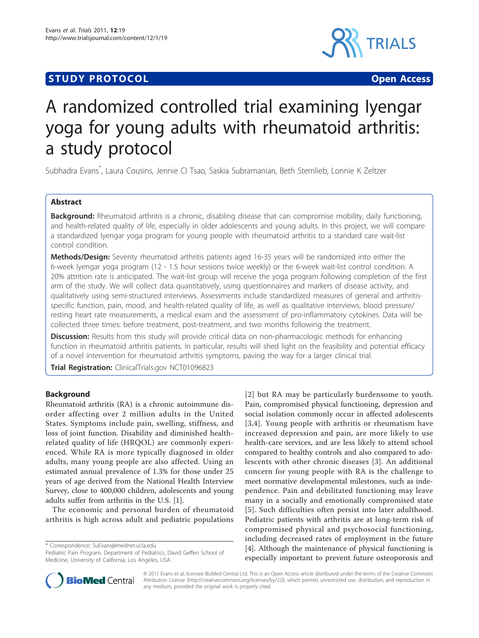## **STUDY PROTOCOL CONSUMING THE CONSUMING OPEN ACCESS**



# A randomized controlled trial examining Iyengar yoga for young adults with rheumatoid arthritis: a study protocol

Subhadra Evans\* , Laura Cousins, Jennie CI Tsao, Saskia Subramanian, Beth Sternlieb, Lonnie K Zeltzer

## Abstract

Background: Rheumatoid arthritis is a chronic, disabling disease that can compromise mobility, daily functioning, and health-related quality of life, especially in older adolescents and young adults. In this project, we will compare a standardized Iyengar yoga program for young people with rheumatoid arthritis to a standard care wait-list control condition.

Methods/Design: Seventy rheumatoid arthritis patients aged 16-35 years will be randomized into either the 6-week Iyengar yoga program (12 - 1.5 hour sessions twice weekly) or the 6-week wait-list control condition. A 20% attrition rate is anticipated. The wait-list group will receive the yoga program following completion of the first arm of the study. We will collect data quantitatively, using questionnaires and markers of disease activity, and qualitatively using semi-structured interviews. Assessments include standardized measures of general and arthritisspecific function, pain, mood, and health-related quality of life, as well as qualitative interviews, blood pressure/ resting heart rate measurements, a medical exam and the assessment of pro-inflammatory cytokines. Data will be collected three times: before treatment, post-treatment, and two months following the treatment.

Discussion: Results from this study will provide critical data on non-pharmacologic methods for enhancing function in rheumatoid arthritis patients. In particular, results will shed light on the feasibility and potential efficacy of a novel intervention for rheumatoid arthritis symptoms, paving the way for a larger clinical trial.

Trial Registration: ClinicalTrials.gov [NCT01096823](http://www.clinicaltrials.gov/ct2/show/NCT01096823)

## Background

Rheumatoid arthritis (RA) is a chronic autoimmune disorder affecting over 2 million adults in the United States. Symptoms include pain, swelling, stiffness, and loss of joint function. Disability and diminished healthrelated quality of life (HRQOL) are commonly experienced. While RA is more typically diagnosed in older adults, many young people are also affected. Using an estimated annual prevalence of 1.3% for those under 25 years of age derived from the National Health Interview Survey, close to 400,000 children, adolescents and young adults suffer from arthritis in the U.S. [[1\]](#page-14-0).

The economic and personal burden of rheumatoid arthritis is high across adult and pediatric populations

\* Correspondence: [SuEvans@mednet.ucla.edu](mailto:SuEvans@mednet.ucla.edu)

[[2](#page-14-0)] but RA may be particularly burdensome to youth. Pain, compromised physical functioning, depression and social isolation commonly occur in affected adolescents [[3](#page-14-0),[4\]](#page-14-0). Young people with arthritis or rheumatism have increased depression and pain, are more likely to use health-care services, and are less likely to attend school compared to healthy controls and also compared to adolescents with other chronic diseases [[3\]](#page-14-0). An additional concern for young people with RA is the challenge to meet normative developmental milestones, such as independence. Pain and debilitated functioning may leave many in a socially and emotionally compromised state [[5](#page-14-0)]. Such difficulties often persist into later adulthood. Pediatric patients with arthritis are at long-term risk of compromised physical and psychosocial functioning, including decreased rates of employment in the future [[4\]](#page-14-0). Although the maintenance of physical functioning is especially important to prevent future osteoporosis and



© 2011 Evans et al; licensee BioMed Central Ltd. This is an Open Access article distributed under the terms of the Creative Commons Attribution License [\(http://creativecommons.org/licenses/by/2.0](http://creativecommons.org/licenses/by/2.0)), which permits unrestricted use, distribution, and reproduction in any medium, provided the original work is properly cited.

Pediatric Pain Program, Department of Pediatrics, David Geffen School of Medicine, University of California, Los Angeles, USA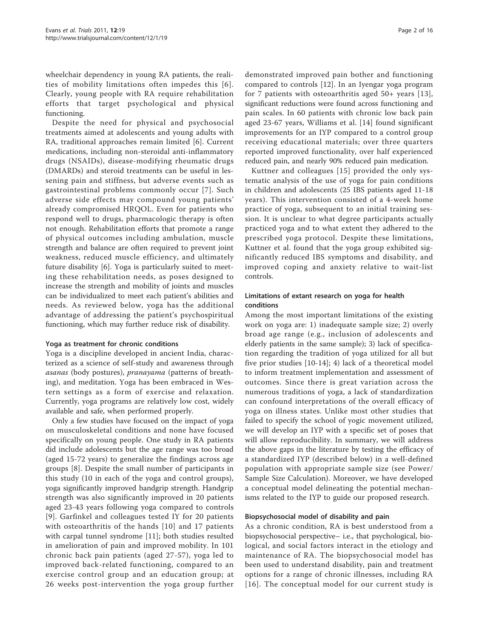wheelchair dependency in young RA patients, the realities of mobility limitations often impedes this [[6\]](#page-14-0). Clearly, young people with RA require rehabilitation efforts that target psychological and physical functioning.

Despite the need for physical and psychosocial treatments aimed at adolescents and young adults with RA, traditional approaches remain limited [\[6](#page-14-0)]. Current medications, including non-steroidal anti-inflammatory drugs (NSAIDs), disease-modifying rheumatic drugs (DMARDs) and steroid treatments can be useful in lessening pain and stiffness, but adverse events such as gastrointestinal problems commonly occur [\[7\]](#page-14-0). Such adverse side effects may compound young patients' already compromised HRQOL. Even for patients who respond well to drugs, pharmacologic therapy is often not enough. Rehabilitation efforts that promote a range of physical outcomes including ambulation, muscle strength and balance are often required to prevent joint weakness, reduced muscle efficiency, and ultimately future disability [[6\]](#page-14-0). Yoga is particularly suited to meeting these rehabilitation needs, as poses designed to increase the strength and mobility of joints and muscles can be individualized to meet each patient's abilities and needs. As reviewed below, yoga has the additional advantage of addressing the patient's psychospiritual functioning, which may further reduce risk of disability.

#### Yoga as treatment for chronic conditions

Yoga is a discipline developed in ancient India, characterized as a science of self-study and awareness through asanas (body postures), pranayama (patterns of breathing), and meditation. Yoga has been embraced in Western settings as a form of exercise and relaxation. Currently, yoga programs are relatively low cost, widely available and safe, when performed properly.

Only a few studies have focused on the impact of yoga on musculoskeletal conditions and none have focused specifically on young people. One study in RA patients did include adolescents but the age range was too broad (aged 15-72 years) to generalize the findings across age groups [[8\]](#page-14-0). Despite the small number of participants in this study (10 in each of the yoga and control groups), yoga significantly improved handgrip strength. Handgrip strength was also significantly improved in 20 patients aged 23-43 years following yoga compared to controls [[9](#page-14-0)]. Garfinkel and colleagues tested IY for 20 patients with osteoarthritis of the hands [[10](#page-14-0)] and 17 patients with carpal tunnel syndrome [\[11](#page-14-0)]; both studies resulted in amelioration of pain and improved mobility. In 101 chronic back pain patients (aged 27-57), yoga led to improved back-related functioning, compared to an exercise control group and an education group; at 26 weeks post-intervention the yoga group further

demonstrated improved pain bother and functioning compared to controls [[12\]](#page-14-0). In an Iyengar yoga program for 7 patients with osteoarthritis aged 50+ years [[13\]](#page-14-0), significant reductions were found across functioning and pain scales. In 60 patients with chronic low back pain aged 23-67 years, Williams et al. [\[14\]](#page-14-0) found significant improvements for an IYP compared to a control group receiving educational materials; over three quarters reported improved functionality, over half experienced reduced pain, and nearly 90% reduced pain medication.

Kuttner and colleagues [[15\]](#page-14-0) provided the only systematic analysis of the use of yoga for pain conditions in children and adolescents (25 IBS patients aged 11-18 years). This intervention consisted of a 4-week home practice of yoga, subsequent to an initial training session. It is unclear to what degree participants actually practiced yoga and to what extent they adhered to the prescribed yoga protocol. Despite these limitations, Kuttner et al. found that the yoga group exhibited significantly reduced IBS symptoms and disability, and improved coping and anxiety relative to wait-list controls.

## Limitations of extant research on yoga for health conditions

Among the most important limitations of the existing work on yoga are: 1) inadequate sample size; 2) overly broad age range (e.g., inclusion of adolescents and elderly patients in the same sample); 3) lack of specification regarding the tradition of yoga utilized for all but five prior studies [\[10](#page-14-0)-[14\]](#page-14-0); 4) lack of a theoretical model to inform treatment implementation and assessment of outcomes. Since there is great variation across the numerous traditions of yoga, a lack of standardization can confound interpretations of the overall efficacy of yoga on illness states. Unlike most other studies that failed to specify the school of yogic movement utilized, we will develop an IYP with a specific set of poses that will allow reproducibility. In summary, we will address the above gaps in the literature by testing the efficacy of a standardized IYP (described below) in a well-defined population with appropriate sample size (see Power/ Sample Size Calculation). Moreover, we have developed a conceptual model delineating the potential mechanisms related to the IYP to guide our proposed research.

#### Biopsychosocial model of disability and pain

As a chronic condition, RA is best understood from a biopsychosocial perspective– i.e., that psychological, biological, and social factors interact in the etiology and maintenance of RA. The biopsychosocial model has been used to understand disability, pain and treatment options for a range of chronic illnesses, including RA [[16\]](#page-14-0). The conceptual model for our current study is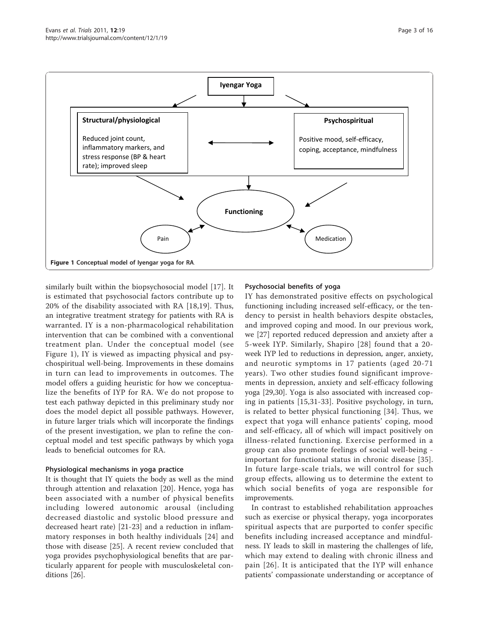

similarly built within the biopsychosocial model [\[17](#page-14-0)]. It is estimated that psychosocial factors contribute up to 20% of the disability associated with RA [\[18](#page-14-0),[19\]](#page-14-0). Thus, an integrative treatment strategy for patients with RA is warranted. IY is a non-pharmacological rehabilitation intervention that can be combined with a conventional treatment plan. Under the conceptual model (see Figure 1), IY is viewed as impacting physical and psychospiritual well-being. Improvements in these domains in turn can lead to improvements in outcomes. The model offers a guiding heuristic for how we conceptualize the benefits of IYP for RA. We do not propose to test each pathway depicted in this preliminary study nor does the model depict all possible pathways. However, in future larger trials which will incorporate the findings of the present investigation, we plan to refine the conceptual model and test specific pathways by which yoga leads to beneficial outcomes for RA.

## Physiological mechanisms in yoga practice

It is thought that IY quiets the body as well as the mind through attention and relaxation [[20\]](#page-14-0). Hence, yoga has been associated with a number of physical benefits including lowered autonomic arousal (including decreased diastolic and systolic blood pressure and decreased heart rate) [\[21](#page-14-0)-[23\]](#page-14-0) and a reduction in inflammatory responses in both healthy individuals [[24](#page-14-0)] and those with disease [\[25](#page-14-0)]. A recent review concluded that yoga provides psychophysiological benefits that are particularly apparent for people with musculoskeletal conditions [[26\]](#page-14-0).

## Psychosocial benefits of yoga

IY has demonstrated positive effects on psychological functioning including increased self-efficacy, or the tendency to persist in health behaviors despite obstacles, and improved coping and mood. In our previous work, we [[27](#page-14-0)] reported reduced depression and anxiety after a 5-week IYP. Similarly, Shapiro [[28](#page-14-0)] found that a 20 week IYP led to reductions in depression, anger, anxiety, and neurotic symptoms in 17 patients (aged 20-71 years). Two other studies found significant improvements in depression, anxiety and self-efficacy following yoga [[29,30\]](#page-14-0). Yoga is also associated with increased coping in patients [[15,31-33](#page-14-0)]. Positive psychology, in turn, is related to better physical functioning [[34\]](#page-15-0). Thus, we expect that yoga will enhance patients' coping, mood and self-efficacy, all of which will impact positively on illness-related functioning. Exercise performed in a group can also promote feelings of social well-being important for functional status in chronic disease [[35](#page-15-0)]. In future large-scale trials, we will control for such group effects, allowing us to determine the extent to which social benefits of yoga are responsible for improvements.

In contrast to established rehabilitation approaches such as exercise or physical therapy, yoga incorporates spiritual aspects that are purported to confer specific benefits including increased acceptance and mindfulness. IY leads to skill in mastering the challenges of life, which may extend to dealing with chronic illness and pain [[26](#page-14-0)]. It is anticipated that the IYP will enhance patients' compassionate understanding or acceptance of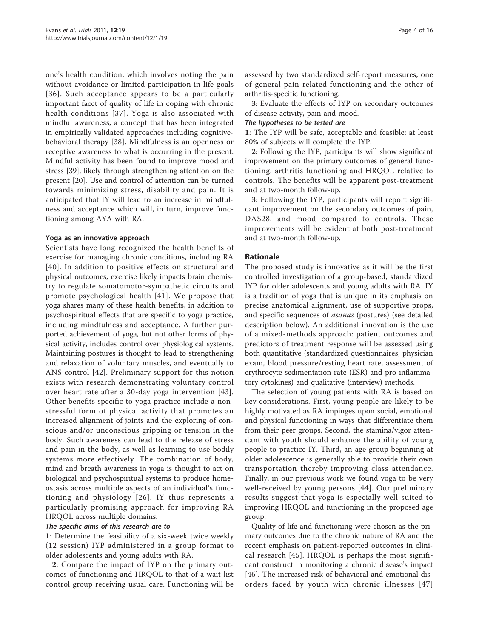one's health condition, which involves noting the pain without avoidance or limited participation in life goals [[36](#page-15-0)]. Such acceptance appears to be a particularly important facet of quality of life in coping with chronic health conditions [[37\]](#page-15-0). Yoga is also associated with mindful awareness, a concept that has been integrated in empirically validated approaches including cognitivebehavioral therapy [[38\]](#page-15-0). Mindfulness is an openness or receptive awareness to what is occurring in the present. Mindful activity has been found to improve mood and stress [[39\]](#page-15-0), likely through strengthening attention on the present [\[20](#page-14-0)]. Use and control of attention can be turned towards minimizing stress, disability and pain. It is anticipated that IY will lead to an increase in mindfulness and acceptance which will, in turn, improve functioning among AYA with RA.

#### Yoga as an innovative approach

Scientists have long recognized the health benefits of exercise for managing chronic conditions, including RA [[40\]](#page-15-0). In addition to positive effects on structural and physical outcomes, exercise likely impacts brain chemistry to regulate somatomotor-sympathetic circuits and promote psychological health [[41](#page-15-0)]. We propose that yoga shares many of these health benefits, in addition to psychospiritual effects that are specific to yoga practice, including mindfulness and acceptance. A further purported achievement of yoga, but not other forms of physical activity, includes control over physiological systems. Maintaining postures is thought to lead to strengthening and relaxation of voluntary muscles, and eventually to ANS control [[42](#page-15-0)]. Preliminary support for this notion exists with research demonstrating voluntary control over heart rate after a 30-day yoga intervention [[43\]](#page-15-0). Other benefits specific to yoga practice include a nonstressful form of physical activity that promotes an increased alignment of joints and the exploring of conscious and/or unconscious gripping or tension in the body. Such awareness can lead to the release of stress and pain in the body, as well as learning to use bodily systems more effectively. The combination of body, mind and breath awareness in yoga is thought to act on biological and psychospiritual systems to produce homeostasis across multiple aspects of an individual's functioning and physiology [[26\]](#page-14-0). IY thus represents a particularly promising approach for improving RA HRQOL across multiple domains.

#### The specific aims of this research are to

1: Determine the feasibility of a six-week twice weekly (12 session) IYP administered in a group format to older adolescents and young adults with RA.

2: Compare the impact of IYP on the primary outcomes of functioning and HRQOL to that of a wait-list control group receiving usual care. Functioning will be assessed by two standardized self-report measures, one of general pain-related functioning and the other of arthritis-specific functioning.

3: Evaluate the effects of IYP on secondary outcomes of disease activity, pain and mood.

#### The hypotheses to be tested are

1: The IYP will be safe, acceptable and feasible: at least 80% of subjects will complete the IYP.

2: Following the IYP, participants will show significant improvement on the primary outcomes of general functioning, arthritis functioning and HRQOL relative to controls. The benefits will be apparent post-treatment and at two-month follow-up.

3: Following the IYP, participants will report significant improvement on the secondary outcomes of pain, DAS28, and mood compared to controls. These improvements will be evident at both post-treatment and at two-month follow-up.

## Rationale

The proposed study is innovative as it will be the first controlled investigation of a group-based, standardized IYP for older adolescents and young adults with RA. IY is a tradition of yoga that is unique in its emphasis on precise anatomical alignment, use of supportive props, and specific sequences of asanas (postures) (see detailed description below). An additional innovation is the use of a mixed-methods approach: patient outcomes and predictors of treatment response will be assessed using both quantitative (standardized questionnaires, physician exam, blood pressure/resting heart rate, assessment of erythrocyte sedimentation rate (ESR) and pro-inflammatory cytokines) and qualitative (interview) methods.

The selection of young patients with RA is based on key considerations. First, young people are likely to be highly motivated as RA impinges upon social, emotional and physical functioning in ways that differentiate them from their peer groups. Second, the stamina/vigor attendant with youth should enhance the ability of young people to practice IY. Third, an age group beginning at older adolescence is generally able to provide their own transportation thereby improving class attendance. Finally, in our previous work we found yoga to be very well-received by young persons [\[44\]](#page-15-0). Our preliminary results suggest that yoga is especially well-suited to improving HRQOL and functioning in the proposed age group.

Quality of life and functioning were chosen as the primary outcomes due to the chronic nature of RA and the recent emphasis on patient-reported outcomes in clinical research [[45\]](#page-15-0). HRQOL is perhaps the most significant construct in monitoring a chronic disease's impact [[46\]](#page-15-0). The increased risk of behavioral and emotional disorders faced by youth with chronic illnesses [[47](#page-15-0)]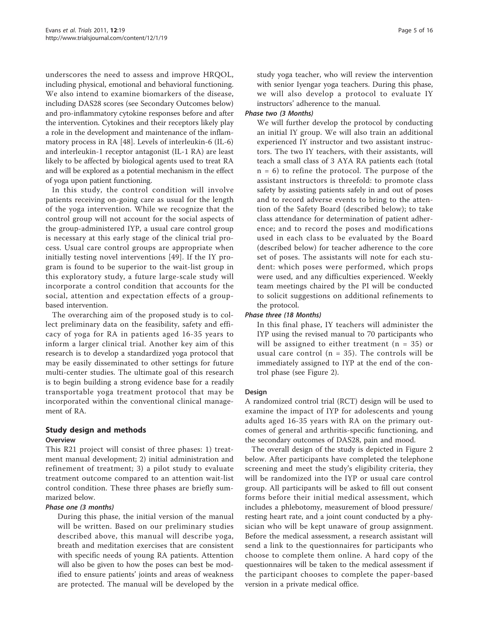underscores the need to assess and improve HRQOL, including physical, emotional and behavioral functioning. We also intend to examine biomarkers of the disease, including DAS28 scores (see Secondary Outcomes below) and pro-inflammatory cytokine responses before and after the intervention. Cytokines and their receptors likely play a role in the development and maintenance of the inflammatory process in RA [[48\]](#page-15-0). Levels of interleukin-6 (IL-6) and interleukin-1 receptor antagonist (IL-1 RA) are least likely to be affected by biological agents used to treat RA and will be explored as a potential mechanism in the effect of yoga upon patient functioning.

In this study, the control condition will involve patients receiving on-going care as usual for the length of the yoga intervention. While we recognize that the control group will not account for the social aspects of the group-administered IYP, a usual care control group is necessary at this early stage of the clinical trial process. Usual care control groups are appropriate when initially testing novel interventions [[49](#page-15-0)]. If the IY program is found to be superior to the wait-list group in this exploratory study, a future large-scale study will incorporate a control condition that accounts for the social, attention and expectation effects of a groupbased intervention.

The overarching aim of the proposed study is to collect preliminary data on the feasibility, safety and efficacy of yoga for RA in patients aged 16-35 years to inform a larger clinical trial. Another key aim of this research is to develop a standardized yoga protocol that may be easily disseminated to other settings for future multi-center studies. The ultimate goal of this research is to begin building a strong evidence base for a readily transportable yoga treatment protocol that may be incorporated within the conventional clinical management of RA.

## Study design and methods **Overview**

This R21 project will consist of three phases: 1) treatment manual development; 2) initial administration and refinement of treatment; 3) a pilot study to evaluate treatment outcome compared to an attention wait-list control condition. These three phases are briefly summarized below.

## Phase one (3 months)

During this phase, the initial version of the manual will be written. Based on our preliminary studies described above, this manual will describe yoga, breath and meditation exercises that are consistent with specific needs of young RA patients. Attention will also be given to how the poses can best be modified to ensure patients' joints and areas of weakness are protected. The manual will be developed by the study yoga teacher, who will review the intervention with senior Iyengar yoga teachers. During this phase, we will also develop a protocol to evaluate IY instructors' adherence to the manual.

## Phase two (3 Months)

We will further develop the protocol by conducting an initial IY group. We will also train an additional experienced IY instructor and two assistant instructors. The two IY teachers, with their assistants, will teach a small class of 3 AYA RA patients each (total  $n = 6$ ) to refine the protocol. The purpose of the assistant instructors is threefold: to promote class safety by assisting patients safely in and out of poses and to record adverse events to bring to the attention of the Safety Board (described below); to take class attendance for determination of patient adherence; and to record the poses and modifications used in each class to be evaluated by the Board (described below) for teacher adherence to the core set of poses. The assistants will note for each student: which poses were performed, which props were used, and any difficulties experienced. Weekly team meetings chaired by the PI will be conducted to solicit suggestions on additional refinements to the protocol.

## Phase three (18 Months)

In this final phase, IY teachers will administer the IYP using the revised manual to 70 participants who will be assigned to either treatment ( $n = 35$ ) or usual care control ( $n = 35$ ). The controls will be immediately assigned to IYP at the end of the control phase (see Figure [2](#page-5-0)).

## Design

A randomized control trial (RCT) design will be used to examine the impact of IYP for adolescents and young adults aged 16-35 years with RA on the primary outcomes of general and arthritis-specific functioning, and the secondary outcomes of DAS28, pain and mood.

The overall design of the study is depicted in Figure [2](#page-5-0) below. After participants have completed the telephone screening and meet the study's eligibility criteria, they will be randomized into the IYP or usual care control group. All participants will be asked to fill out consent forms before their initial medical assessment, which includes a phlebotomy, measurement of blood pressure/ resting heart rate, and a joint count conducted by a physician who will be kept unaware of group assignment. Before the medical assessment, a research assistant will send a link to the questionnaires for participants who choose to complete them online. A hard copy of the questionnaires will be taken to the medical assessment if the participant chooses to complete the paper-based version in a private medical office.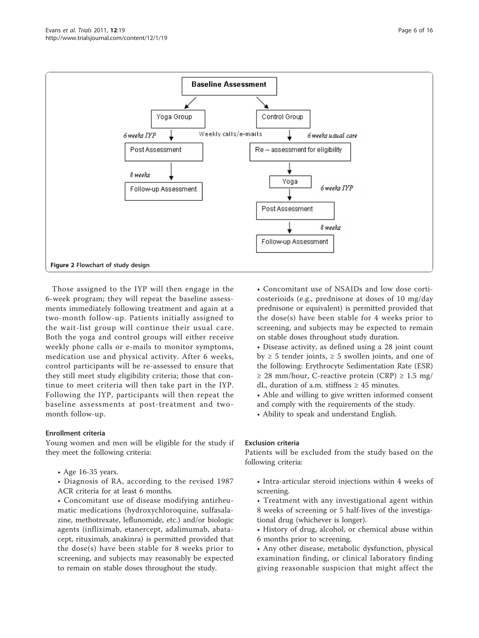<span id="page-5-0"></span>

Those assigned to the IYP will then engage in the 6-week program; they will repeat the baseline assessments immediately following treatment and again at a two-month follow-up. Patients initially assigned to the wait-list group will continue their usual care. Both the yoga and control groups will either receive weekly phone calls or e-mails to monitor symptoms, medication use and physical activity. After 6 weeks, control participants will be re-assessed to ensure that they still meet study eligibility criteria; those that continue to meet criteria will then take part in the IYP. Following the IYP, participants will then repeat the baseline assessments at post-treatment and twomonth follow-up.

## Enrollment criteria

Young women and men will be eligible for the study if they meet the following criteria:

- Age 16-35 years.
- Diagnosis of RA, according to the revised 1987 ACR criteria for at least 6 months.

• Concomitant use of disease modifying antirheumatic medications (hydroxychloroquine, sulfasalazine, methotrexate, leflunomide, etc.) and/or biologic agents (infliximab, etanercept, adalimumab, abatacept, rituximab, anakinra) is permitted provided that the dose(s) have been stable for 8 weeks prior to screening, and subjects may reasonably be expected to remain on stable doses throughout the study.

• Concomitant use of NSAIDs and low dose corticosterioids (e.g., prednisone at doses of 10 mg/day prednisone or equivalent) is permitted provided that the dose(s) have been stable for 4 weeks prior to screening, and subjects may be expected to remain on stable doses throughout study duration.

- Disease activity, as defined using a 28 joint count by  $\geq 5$  tender joints,  $\geq 5$  swollen joints, and one of the following: Erythrocyte Sedimentation Rate (ESR) ≥ 28 mm/hour, C-reactive protein (CRP) ≥ 1.5 mg/ dL, duration of a.m. stiffness  $\geq$  45 minutes.
- Able and willing to give written informed consent and comply with the requirements of the study.
- Ability to speak and understand English.

## Exclusion criteria

Patients will be excluded from the study based on the following criteria:

- Intra-articular steroid injections within 4 weeks of screening.
- Treatment with any investigational agent within 8 weeks of screening or 5 half-lives of the investigational drug (whichever is longer).
- History of drug, alcohol, or chemical abuse within 6 months prior to screening.
- Any other disease, metabolic dysfunction, physical examination finding, or clinical laboratory finding giving reasonable suspicion that might affect the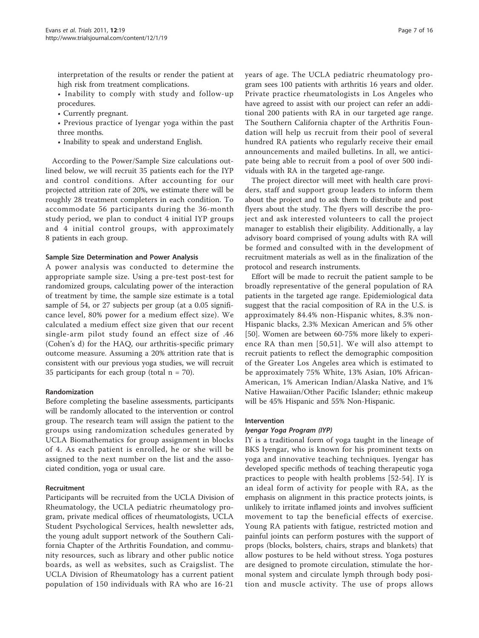interpretation of the results or render the patient at high risk from treatment complications.

• Inability to comply with study and follow-up procedures.

- Currently pregnant.
- Previous practice of Iyengar yoga within the past three months.
- Inability to speak and understand English.

According to the Power/Sample Size calculations outlined below, we will recruit 35 patients each for the IYP and control conditions. After accounting for our projected attrition rate of 20%, we estimate there will be roughly 28 treatment completers in each condition. To accommodate 56 participants during the 36-month study period, we plan to conduct 4 initial IYP groups and 4 initial control groups, with approximately 8 patients in each group.

#### Sample Size Determination and Power Analysis

A power analysis was conducted to determine the appropriate sample size. Using a pre-test post-test for randomized groups, calculating power of the interaction of treatment by time, the sample size estimate is a total sample of 54, or 27 subjects per group (at a 0.05 significance level, 80% power for a medium effect size). We calculated a medium effect size given that our recent single-arm pilot study found an effect size of .46 (Cohen's d) for the HAQ, our arthritis-specific primary outcome measure. Assuming a 20% attrition rate that is consistent with our previous yoga studies, we will recruit 35 participants for each group (total  $n = 70$ ).

#### Randomization

Before completing the baseline assessments, participants will be randomly allocated to the intervention or control group. The research team will assign the patient to the groups using randomization schedules generated by UCLA Biomathematics for group assignment in blocks of 4. As each patient is enrolled, he or she will be assigned to the next number on the list and the associated condition, yoga or usual care.

#### Recruitment

Participants will be recruited from the UCLA Division of Rheumatology, the UCLA pediatric rheumatology program, private medical offices of rheumatologists, UCLA Student Psychological Services, health newsletter ads, the young adult support network of the Southern California Chapter of the Arthritis Foundation, and community resources, such as library and other public notice boards, as well as websites, such as Craigslist. The UCLA Division of Rheumatology has a current patient population of 150 individuals with RA who are 16-21

years of age. The UCLA pediatric rheumatology program sees 100 patients with arthritis 16 years and older. Private practice rheumatologists in Los Angeles who have agreed to assist with our project can refer an additional 200 patients with RA in our targeted age range. The Southern California chapter of the Arthritis Foundation will help us recruit from their pool of several hundred RA patients who regularly receive their email announcements and mailed bulletins. In all, we anticipate being able to recruit from a pool of over 500 individuals with RA in the targeted age-range.

The project director will meet with health care providers, staff and support group leaders to inform them about the project and to ask them to distribute and post flyers about the study. The flyers will describe the project and ask interested volunteers to call the project manager to establish their eligibility. Additionally, a lay advisory board comprised of young adults with RA will be formed and consulted with in the development of recruitment materials as well as in the finalization of the protocol and research instruments.

Effort will be made to recruit the patient sample to be broadly representative of the general population of RA patients in the targeted age range. Epidemiological data suggest that the racial composition of RA in the U.S. is approximately 84.4% non-Hispanic whites, 8.3% non-Hispanic blacks, 2.3% Mexican American and 5% other [[50\]](#page-15-0). Women are between 60-75% more likely to experience RA than men [[50,51\]](#page-15-0). We will also attempt to recruit patients to reflect the demographic composition of the Greater Los Angeles area which is estimated to be approximately 75% White, 13% Asian, 10% African-American, 1% American Indian/Alaska Native, and 1% Native Hawaiian/Other Pacific Islander; ethnic makeup will be 45% Hispanic and 55% Non-Hispanic.

#### Intervention

#### Iyengar Yoga Program (IYP)

IY is a traditional form of yoga taught in the lineage of BKS Iyengar, who is known for his prominent texts on yoga and innovative teaching techniques. Iyengar has developed specific methods of teaching therapeutic yoga practices to people with health problems [[52](#page-15-0)-[54\]](#page-15-0). IY is an ideal form of activity for people with RA, as the emphasis on alignment in this practice protects joints, is unlikely to irritate inflamed joints and involves sufficient movement to tap the beneficial effects of exercise. Young RA patients with fatigue, restricted motion and painful joints can perform postures with the support of props (blocks, bolsters, chairs, straps and blankets) that allow postures to be held without stress. Yoga postures are designed to promote circulation, stimulate the hormonal system and circulate lymph through body position and muscle activity. The use of props allows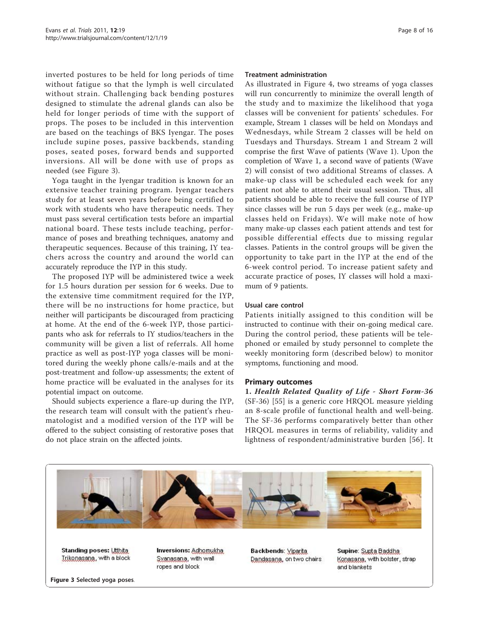inverted postures to be held for long periods of time without fatigue so that the lymph is well circulated without strain. Challenging back bending postures designed to stimulate the adrenal glands can also be held for longer periods of time with the support of props. The poses to be included in this intervention are based on the teachings of BKS Iyengar. The poses include supine poses, passive backbends, standing poses, seated poses, forward bends and supported inversions. All will be done with use of props as needed (see Figure 3).

Yoga taught in the Iyengar tradition is known for an extensive teacher training program. Iyengar teachers study for at least seven years before being certified to work with students who have therapeutic needs. They must pass several certification tests before an impartial national board. These tests include teaching, performance of poses and breathing techniques, anatomy and therapeutic sequences. Because of this training, IY teachers across the country and around the world can accurately reproduce the IYP in this study.

The proposed IYP will be administered twice a week for 1.5 hours duration per session for 6 weeks. Due to the extensive time commitment required for the IYP, there will be no instructions for home practice, but neither will participants be discouraged from practicing at home. At the end of the 6-week IYP, those participants who ask for referrals to IY studios/teachers in the community will be given a list of referrals. All home practice as well as post-IYP yoga classes will be monitored during the weekly phone calls/e-mails and at the post-treatment and follow-up assessments; the extent of home practice will be evaluated in the analyses for its potential impact on outcome.

Should subjects experience a flare-up during the IYP, the research team will consult with the patient's rheumatologist and a modified version of the IYP will be offered to the subject consisting of restorative poses that do not place strain on the affected joints.

ropes and block

#### Treatment administration

As illustrated in Figure [4,](#page-8-0) two streams of yoga classes will run concurrently to minimize the overall length of the study and to maximize the likelihood that yoga classes will be convenient for patients' schedules. For example, Stream 1 classes will be held on Mondays and Wednesdays, while Stream 2 classes will be held on Tuesdays and Thursdays. Stream 1 and Stream 2 will comprise the first Wave of patients (Wave 1). Upon the completion of Wave 1, a second wave of patients (Wave 2) will consist of two additional Streams of classes. A make-up class will be scheduled each week for any patient not able to attend their usual session. Thus, all patients should be able to receive the full course of IYP since classes will be run 5 days per week (e.g., make-up classes held on Fridays). We will make note of how many make-up classes each patient attends and test for possible differential effects due to missing regular classes. Patients in the control groups will be given the opportunity to take part in the IYP at the end of the 6-week control period. To increase patient safety and accurate practice of poses, IY classes will hold a maximum of 9 patients.

#### Usual care control

Patients initially assigned to this condition will be instructed to continue with their on-going medical care. During the control period, these patients will be telephoned or emailed by study personnel to complete the weekly monitoring form (described below) to monitor symptoms, functioning and mood.

#### Primary outcomes

1. Health Related Quality of Life - Short Form-36 (SF-36) [[55\]](#page-15-0) is a generic core HRQOL measure yielding an 8-scale profile of functional health and well-being. The SF-36 performs comparatively better than other HRQOL measures in terms of reliability, validity and lightness of respondent/administrative burden [\[56\]](#page-15-0). It

and blankets



Figure 3 Selected yoga poses.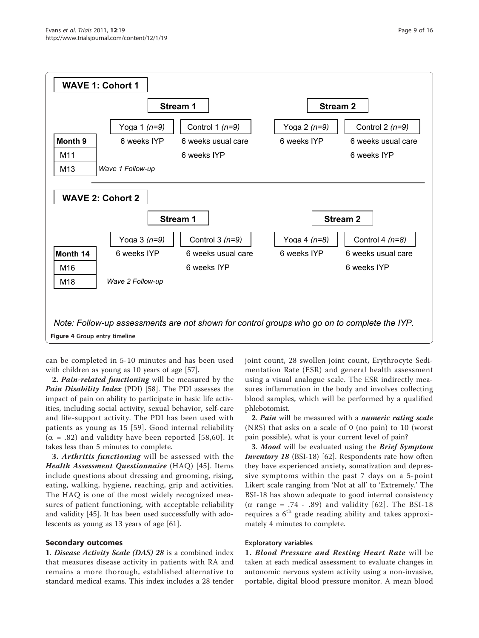

<span id="page-8-0"></span>

can be completed in 5-10 minutes and has been used with children as young as 10 years of age [[57\]](#page-15-0).

2. Pain-related functioning will be measured by the Pain Disability Index (PDI) [[58\]](#page-15-0). The PDI assesses the impact of pain on ability to participate in basic life activities, including social activity, sexual behavior, self-care and life-support activity. The PDI has been used with patients as young as 15 [[59](#page-15-0)]. Good internal reliability  $(\alpha = .82)$  and validity have been reported [[58,60\]](#page-15-0). It takes less than 5 minutes to complete.

3. Arthritis functioning will be assessed with the Health Assessment Questionnaire (HAQ) [\[45\]](#page-15-0). Items include questions about dressing and grooming, rising, eating, walking, hygiene, reaching, grip and activities. The HAQ is one of the most widely recognized measures of patient functioning, with acceptable reliability and validity [[45\]](#page-15-0). It has been used successfully with adolescents as young as 13 years of age [\[61](#page-15-0)].

## Secondary outcomes

1. Disease Activity Scale (DAS) 28 is a combined index that measures disease activity in patients with RA and remains a more thorough, established alternative to standard medical exams. This index includes a 28 tender joint count, 28 swollen joint count, Erythrocyte Sedimentation Rate (ESR) and general health assessment using a visual analogue scale. The ESR indirectly measures inflammation in the body and involves collecting blood samples, which will be performed by a qualified phlebotomist.

2. Pain will be measured with a numeric rating scale (NRS) that asks on a scale of 0 (no pain) to 10 (worst pain possible), what is your current level of pain?

3. Mood will be evaluated using the Brief Symptom Inventory 18 (BSI-18) [[62](#page-15-0)]. Respondents rate how often they have experienced anxiety, somatization and depressive symptoms within the past 7 days on a 5-point Likert scale ranging from 'Not at all' to 'Extremely.' The BSI-18 has shown adequate to good internal consistency ( $\alpha$  range = .74 - .89) and validity [[62\]](#page-15-0). The BSI-18 requires a  $6<sup>th</sup>$  grade reading ability and takes approximately 4 minutes to complete.

## Exploratory variables

1. Blood Pressure and Resting Heart Rate will be taken at each medical assessment to evaluate changes in autonomic nervous system activity using a non-invasive, portable, digital blood pressure monitor. A mean blood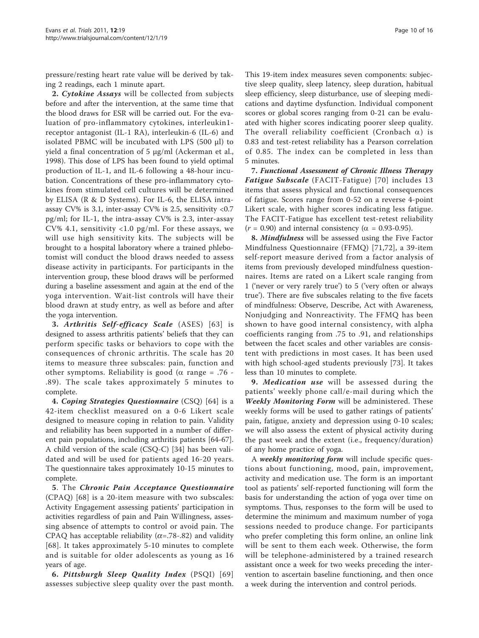pressure/resting heart rate value will be derived by taking 2 readings, each 1 minute apart.

2. Cytokine Assays will be collected from subjects before and after the intervention, at the same time that the blood draws for ESR will be carried out. For the evaluation of pro-inflammatory cytokines, interleukin1 receptor antagonist (IL-1 RA), interleukin-6 (IL-6) and isolated PBMC will be incubated with LPS (500 μl) to yield a final concentration of 5 μg/ml (Ackerman et al., 1998). This dose of LPS has been found to yield optimal production of IL-1, and IL-6 following a 48-hour incubation. Concentrations of these pro-inflammatory cytokines from stimulated cell cultures will be determined by ELISA (R & D Systems). For IL-6, the ELISA intraassay CV% is 3.1, inter-assay CV% is 2.5, sensitivity <0.7 pg/ml; for IL-1, the intra-assay CV% is 2.3, inter-assay CV% 4.1, sensitivity <1.0 pg/ml. For these assays, we will use high sensitivity kits. The subjects will be brought to a hospital laboratory where a trained phlebotomist will conduct the blood draws needed to assess disease activity in participants. For participants in the intervention group, these blood draws will be performed during a baseline assessment and again at the end of the yoga intervention. Wait-list controls will have their blood drawn at study entry, as well as before and after the yoga intervention.

3. Arthritis Self-efficacy Scale (ASES) [[63\]](#page-15-0) is designed to assess arthritis patients' beliefs that they can perform specific tasks or behaviors to cope with the consequences of chronic arthritis. The scale has 20 items to measure three subscales: pain, function and other symptoms. Reliability is good ( $\alpha$  range = .76 -.89). The scale takes approximately 5 minutes to complete.

4. Coping Strategies Questionnaire (CSQ) [[64](#page-15-0)] is a 42-item checklist measured on a 0-6 Likert scale designed to measure coping in relation to pain. Validity and reliability has been supported in a number of different pain populations, including arthritis patients [\[64-67](#page-15-0)]. A child version of the scale (CSQ-C) [[34\]](#page-15-0) has been validated and will be used for patients aged 16-20 years. The questionnaire takes approximately 10-15 minutes to complete.

5. The Chronic Pain Acceptance Questionnaire (CPAQ) [[68\]](#page-15-0) is a 20-item measure with two subscales: Activity Engagement assessing patients' participation in activities regardless of pain and Pain Willingness, assessing absence of attempts to control or avoid pain. The CPAQ has acceptable reliability ( $\alpha$ =.78-.82) and validity [[68](#page-15-0)]. It takes approximately 5-10 minutes to complete and is suitable for older adolescents as young as 16 years of age.

6. Pittsburgh Sleep Quality Index (PSQI) [[69](#page-15-0)] assesses subjective sleep quality over the past month.

This 19-item index measures seven components: subjective sleep quality, sleep latency, sleep duration, habitual sleep efficiency, sleep disturbance, use of sleeping medications and daytime dysfunction. Individual component scores or global scores ranging from 0-21 can be evaluated with higher scores indicating poorer sleep quality. The overall reliability coefficient (Cronbach  $\alpha$ ) is 0.83 and test-retest reliability has a Pearson correlation of 0.85. The index can be completed in less than 5 minutes.

7. Functional Assessment of Chronic Illness Therapy Fatigue Subscale (FACIT-Fatigue) [[70](#page-15-0)] includes 13 items that assess physical and functional consequences of fatigue. Scores range from 0-52 on a reverse 4-point Likert scale, with higher scores indicating less fatigue. The FACIT-Fatigue has excellent test-retest reliability  $(r = 0.90)$  and internal consistency ( $\alpha = 0.93$ -0.95).

8. Mindfulness will be assessed using the Five Factor Mindfulness Questionnaire (FFMQ) [[71,72](#page-15-0)], a 39-item self-report measure derived from a factor analysis of items from previously developed mindfulness questionnaires. Items are rated on a Likert scale ranging from 1 ('never or very rarely true') to 5 ('very often or always true'). There are five subscales relating to the five facets of mindfulness: Observe, Describe, Act with Awareness, Nonjudging and Nonreactivity. The FFMQ has been shown to have good internal consistency, with alpha coefficients ranging from .75 to .91, and relationships between the facet scales and other variables are consistent with predictions in most cases. It has been used with high school-aged students previously [[73\]](#page-15-0). It takes less than 10 minutes to complete.

**9. Medication use** will be assessed during the patients' weekly phone call/e-mail during which the Weekly Monitoring Form will be administered. These weekly forms will be used to gather ratings of patients' pain, fatigue, anxiety and depression using 0-10 scales; we will also assess the extent of physical activity during the past week and the extent (i.e., frequency/duration) of any home practice of yoga.

A weekly monitoring form will include specific questions about functioning, mood, pain, improvement, activity and medication use. The form is an important tool as patients' self-reported functioning will form the basis for understanding the action of yoga over time on symptoms. Thus, responses to the form will be used to determine the minimum and maximum number of yoga sessions needed to produce change. For participants who prefer completing this form online, an online link will be sent to them each week. Otherwise, the form will be telephone-administered by a trained research assistant once a week for two weeks preceding the intervention to ascertain baseline functioning, and then once a week during the intervention and control periods.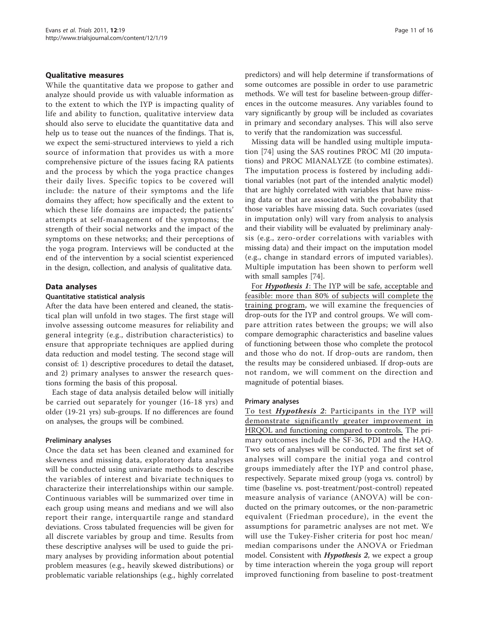## Qualitative measures

While the quantitative data we propose to gather and analyze should provide us with valuable information as to the extent to which the IYP is impacting quality of life and ability to function, qualitative interview data should also serve to elucidate the quantitative data and help us to tease out the nuances of the findings. That is, we expect the semi-structured interviews to yield a rich source of information that provides us with a more comprehensive picture of the issues facing RA patients and the process by which the yoga practice changes their daily lives. Specific topics to be covered will include: the nature of their symptoms and the life domains they affect; how specifically and the extent to which these life domains are impacted; the patients' attempts at self-management of the symptoms; the strength of their social networks and the impact of the symptoms on these networks; and their perceptions of the yoga program. Interviews will be conducted at the end of the intervention by a social scientist experienced in the design, collection, and analysis of qualitative data.

## Data analyses

#### Quantitative statistical analysis

After the data have been entered and cleaned, the statistical plan will unfold in two stages. The first stage will involve assessing outcome measures for reliability and general integrity (e.g., distribution characteristics) to ensure that appropriate techniques are applied during data reduction and model testing. The second stage will consist of: 1) descriptive procedures to detail the dataset, and 2) primary analyses to answer the research questions forming the basis of this proposal.

Each stage of data analysis detailed below will initially be carried out separately for younger (16-18 yrs) and older (19-21 yrs) sub-groups. If no differences are found on analyses, the groups will be combined.

#### Preliminary analyses

Once the data set has been cleaned and examined for skewness and missing data, exploratory data analyses will be conducted using univariate methods to describe the variables of interest and bivariate techniques to characterize their interrelationships within our sample. Continuous variables will be summarized over time in each group using means and medians and we will also report their range, interquartile range and standard deviations. Cross tabulated frequencies will be given for all discrete variables by group and time. Results from these descriptive analyses will be used to guide the primary analyses by providing information about potential problem measures (e.g., heavily skewed distributions) or problematic variable relationships (e.g., highly correlated predictors) and will help determine if transformations of some outcomes are possible in order to use parametric methods. We will test for baseline between-group differences in the outcome measures. Any variables found to vary significantly by group will be included as covariates in primary and secondary analyses. This will also serve to verify that the randomization was successful.

Missing data will be handled using multiple imputation [[74\]](#page-15-0) using the SAS routines PROC MI (20 imputations) and PROC MIANALYZE (to combine estimates). The imputation process is fostered by including additional variables (not part of the intended analytic model) that are highly correlated with variables that have missing data or that are associated with the probability that those variables have missing data. Such covariates (used in imputation only) will vary from analysis to analysis and their viability will be evaluated by preliminary analysis (e.g., zero-order correlations with variables with missing data) and their impact on the imputation model (e.g., change in standard errors of imputed variables). Multiple imputation has been shown to perform well with small samples [[74\]](#page-15-0).

For Hypothesis 1: The IYP will be safe, acceptable and feasible: more than 80% of subjects will complete the training program, we will examine the frequencies of drop-outs for the IYP and control groups. We will compare attrition rates between the groups; we will also compare demographic characteristics and baseline values of functioning between those who complete the protocol and those who do not. If drop-outs are random, then the results may be considered unbiased. If drop-outs are not random, we will comment on the direction and magnitude of potential biases.

#### Primary analyses

To test *Hypothesis* 2: Participants in the IYP will demonstrate significantly greater improvement in HRQOL and functioning compared to controls. The primary outcomes include the SF-36, PDI and the HAQ. Two sets of analyses will be conducted. The first set of analyses will compare the initial yoga and control groups immediately after the IYP and control phase, respectively. Separate mixed group (yoga vs. control) by time (baseline vs. post-treatment/post-control) repeated measure analysis of variance (ANOVA) will be conducted on the primary outcomes, or the non-parametric equivalent (Friedman procedure), in the event the assumptions for parametric analyses are not met. We will use the Tukey-Fisher criteria for post hoc mean/ median comparisons under the ANOVA or Friedman model. Consistent with **Hypothesis 2**, we expect a group by time interaction wherein the yoga group will report improved functioning from baseline to post-treatment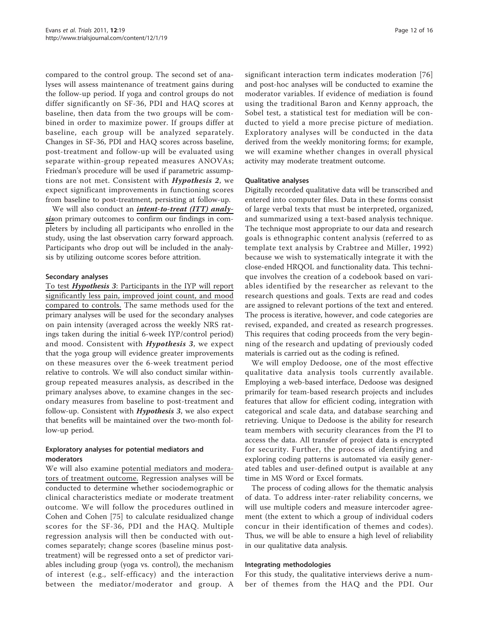compared to the control group. The second set of analyses will assess maintenance of treatment gains during the follow-up period. If yoga and control groups do not differ significantly on SF-36, PDI and HAQ scores at baseline, then data from the two groups will be combined in order to maximize power. If groups differ at baseline, each group will be analyzed separately. Changes in SF-36, PDI and HAQ scores across baseline, post-treatment and follow-up will be evaluated using separate within-group repeated measures ANOVAs; Friedman's procedure will be used if parametric assumptions are not met. Consistent with Hypothesis 2, we expect significant improvements in functioning scores from baseline to post-treatment, persisting at follow-up.

We will also conduct an *intent-to-treat (ITT) analy*sison primary outcomes to confirm our findings in completers by including all participants who enrolled in the study, using the last observation carry forward approach. Participants who drop out will be included in the analysis by utilizing outcome scores before attrition.

## Secondary analyses

To test Hypothesis 3: Participants in the IYP will report significantly less pain, improved joint count, and mood compared to controls. The same methods used for the primary analyses will be used for the secondary analyses on pain intensity (averaged across the weekly NRS ratings taken during the initial 6-week IYP/control period) and mood. Consistent with *Hypothesis 3*, we expect that the yoga group will evidence greater improvements on these measures over the 6-week treatment period relative to controls. We will also conduct similar withingroup repeated measures analysis, as described in the primary analyses above, to examine changes in the secondary measures from baseline to post-treatment and follow-up. Consistent with **Hypothesis 3**, we also expect that benefits will be maintained over the two-month follow-up period.

## Exploratory analyses for potential mediators and moderators

We will also examine potential mediators and moderators of treatment outcome. Regression analyses will be conducted to determine whether sociodemographic or clinical characteristics mediate or moderate treatment outcome. We will follow the procedures outlined in Cohen and Cohen [[75](#page-15-0)] to calculate residualized change scores for the SF-36, PDI and the HAQ. Multiple regression analysis will then be conducted with outcomes separately; change scores (baseline minus posttreatment) will be regressed onto a set of predictor variables including group (yoga vs. control), the mechanism of interest (e.g., self-efficacy) and the interaction between the mediator/moderator and group. A significant interaction term indicates moderation [[76](#page-15-0)] and post-hoc analyses will be conducted to examine the moderator variables. If evidence of mediation is found using the traditional Baron and Kenny approach, the Sobel test, a statistical test for mediation will be conducted to yield a more precise picture of mediation. Exploratory analyses will be conducted in the data derived from the weekly monitoring forms; for example, we will examine whether changes in overall physical activity may moderate treatment outcome.

## Qualitative analyses

Digitally recorded qualitative data will be transcribed and entered into computer files. Data in these forms consist of large verbal texts that must be interpreted, organized, and summarized using a text-based analysis technique. The technique most appropriate to our data and research goals is ethnographic content analysis (referred to as template text analysis by Crabtree and Miller, 1992) because we wish to systematically integrate it with the close-ended HRQOL and functionality data. This technique involves the creation of a codebook based on variables identified by the researcher as relevant to the research questions and goals. Texts are read and codes are assigned to relevant portions of the text and entered. The process is iterative, however, and code categories are revised, expanded, and created as research progresses. This requires that coding proceeds from the very beginning of the research and updating of previously coded materials is carried out as the coding is refined.

We will employ Dedoose, one of the most effective qualitative data analysis tools currently available. Employing a web-based interface, Dedoose was designed primarily for team-based research projects and includes features that allow for efficient coding, integration with categorical and scale data, and database searching and retrieving. Unique to Dedoose is the ability for research team members with security clearances from the PI to access the data. All transfer of project data is encrypted for security. Further, the process of identifying and exploring coding patterns is automated via easily generated tables and user-defined output is available at any time in MS Word or Excel formats.

The process of coding allows for the thematic analysis of data. To address inter-rater reliability concerns, we will use multiple coders and measure intercoder agreement (the extent to which a group of individual coders concur in their identification of themes and codes). Thus, we will be able to ensure a high level of reliability in our qualitative data analysis.

#### Integrating methodologies

For this study, the qualitative interviews derive a number of themes from the HAQ and the PDI. Our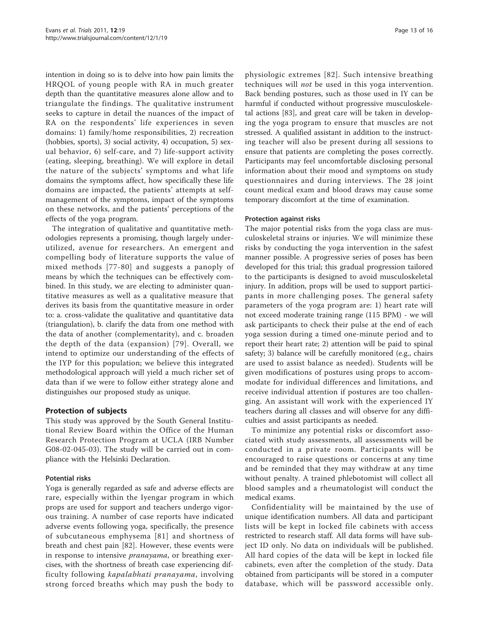intention in doing so is to delve into how pain limits the HRQOL of young people with RA in much greater depth than the quantitative measures alone allow and to triangulate the findings. The qualitative instrument seeks to capture in detail the nuances of the impact of RA on the respondents' life experiences in seven domains: 1) family/home responsibilities, 2) recreation (hobbies, sports), 3) social activity, 4) occupation, 5) sexual behavior, 6) self-care, and 7) life-support activity (eating, sleeping, breathing). We will explore in detail the nature of the subjects' symptoms and what life domains the symptoms affect, how specifically these life domains are impacted, the patients' attempts at selfmanagement of the symptoms, impact of the symptoms on these networks, and the patients' perceptions of the effects of the yoga program.

The integration of qualitative and quantitative methodologies represents a promising, though largely underutilized, avenue for researchers. An emergent and compelling body of literature supports the value of mixed methods [\[77](#page-15-0)-[80](#page-15-0)] and suggests a panoply of means by which the techniques can be effectively combined. In this study, we are electing to administer quantitative measures as well as a qualitative measure that derives its basis from the quantitative measure in order to: a. cross-validate the qualitative and quantitative data (triangulation), b. clarify the data from one method with the data of another (complementarity), and c. broaden the depth of the data (expansion) [[79](#page-15-0)]. Overall, we intend to optimize our understanding of the effects of the IYP for this population; we believe this integrated methodological approach will yield a much richer set of data than if we were to follow either strategy alone and distinguishes our proposed study as unique.

## Protection of subjects

This study was approved by the South General Institutional Review Board within the Office of the Human Research Protection Program at UCLA (IRB Number G08-02-045-03). The study will be carried out in compliance with the Helsinki Declaration.

## Potential risks

Yoga is generally regarded as safe and adverse effects are rare, especially within the Iyengar program in which props are used for support and teachers undergo vigorous training. A number of case reports have indicated adverse events following yoga, specifically, the presence of subcutaneous emphysema [[81](#page-15-0)] and shortness of breath and chest pain [[82\]](#page-15-0). However, these events were in response to intensive pranayama, or breathing exercises, with the shortness of breath case experiencing difficulty following kapalabhati pranayama, involving strong forced breaths which may push the body to

physiologic extremes [\[82](#page-15-0)]. Such intensive breathing techniques will not be used in this yoga intervention. Back bending postures, such as those used in IY can be harmful if conducted without progressive musculoskeletal actions [[83\]](#page-15-0), and great care will be taken in developing the yoga program to ensure that muscles are not stressed. A qualified assistant in addition to the instructing teacher will also be present during all sessions to ensure that patients are completing the poses correctly. Participants may feel uncomfortable disclosing personal information about their mood and symptoms on study questionnaires and during interviews. The 28 joint count medical exam and blood draws may cause some temporary discomfort at the time of examination.

## Protection against risks

The major potential risks from the yoga class are musculoskeletal strains or injuries. We will minimize these risks by conducting the yoga intervention in the safest manner possible. A progressive series of poses has been developed for this trial; this gradual progression tailored to the participants is designed to avoid musculoskeletal injury. In addition, props will be used to support participants in more challenging poses. The general safety parameters of the yoga program are: 1) heart rate will not exceed moderate training range (115 BPM) - we will ask participants to check their pulse at the end of each yoga session during a timed one-minute period and to report their heart rate; 2) attention will be paid to spinal safety; 3) balance will be carefully monitored (e.g., chairs are used to assist balance as needed). Students will be given modifications of postures using props to accommodate for individual differences and limitations, and receive individual attention if postures are too challenging. An assistant will work with the experienced IY teachers during all classes and will observe for any difficulties and assist participants as needed.

To minimize any potential risks or discomfort associated with study assessments, all assessments will be conducted in a private room. Participants will be encouraged to raise questions or concerns at any time and be reminded that they may withdraw at any time without penalty. A trained phlebotomist will collect all blood samples and a rheumatologist will conduct the medical exams.

Confidentiality will be maintained by the use of unique identification numbers. All data and participant lists will be kept in locked file cabinets with access restricted to research staff. All data forms will have subject ID only. No data on individuals will be published. All hard copies of the data will be kept in locked file cabinets, even after the completion of the study. Data obtained from participants will be stored in a computer database, which will be password accessible only.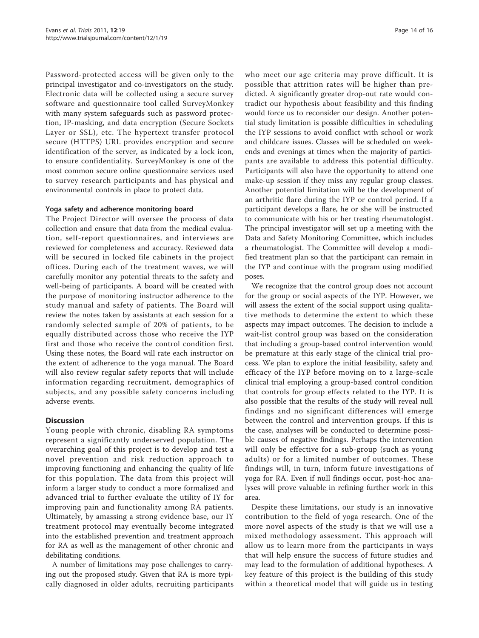Password-protected access will be given only to the principal investigator and co-investigators on the study. Electronic data will be collected using a secure survey software and questionnaire tool called SurveyMonkey with many system safeguards such as password protection, IP-masking, and data encryption (Secure Sockets Layer or SSL), etc. The hypertext transfer protocol secure (HTTPS) URL provides encryption and secure identification of the server, as indicated by a lock icon, to ensure confidentiality. SurveyMonkey is one of the most common secure online questionnaire services used to survey research participants and has physical and environmental controls in place to protect data.

#### Yoga safety and adherence monitoring board

The Project Director will oversee the process of data collection and ensure that data from the medical evaluation, self-report questionnaires, and interviews are reviewed for completeness and accuracy. Reviewed data will be secured in locked file cabinets in the project offices. During each of the treatment waves, we will carefully monitor any potential threats to the safety and well-being of participants. A board will be created with the purpose of monitoring instructor adherence to the study manual and safety of patients. The Board will review the notes taken by assistants at each session for a randomly selected sample of 20% of patients, to be equally distributed across those who receive the IYP first and those who receive the control condition first. Using these notes, the Board will rate each instructor on the extent of adherence to the yoga manual. The Board will also review regular safety reports that will include information regarding recruitment, demographics of subjects, and any possible safety concerns including adverse events.

#### **Discussion**

Young people with chronic, disabling RA symptoms represent a significantly underserved population. The overarching goal of this project is to develop and test a novel prevention and risk reduction approach to improving functioning and enhancing the quality of life for this population. The data from this project will inform a larger study to conduct a more formalized and advanced trial to further evaluate the utility of IY for improving pain and functionality among RA patients. Ultimately, by amassing a strong evidence base, our IY treatment protocol may eventually become integrated into the established prevention and treatment approach for RA as well as the management of other chronic and debilitating conditions.

A number of limitations may pose challenges to carrying out the proposed study. Given that RA is more typically diagnosed in older adults, recruiting participants who meet our age criteria may prove difficult. It is possible that attrition rates will be higher than predicted. A significantly greater drop-out rate would contradict our hypothesis about feasibility and this finding would force us to reconsider our design. Another potential study limitation is possible difficulties in scheduling the IYP sessions to avoid conflict with school or work and childcare issues. Classes will be scheduled on weekends and evenings at times when the majority of participants are available to address this potential difficulty. Participants will also have the opportunity to attend one make-up session if they miss any regular group classes. Another potential limitation will be the development of an arthritic flare during the IYP or control period. If a participant develops a flare, he or she will be instructed to communicate with his or her treating rheumatologist. The principal investigator will set up a meeting with the Data and Safety Monitoring Committee, which includes a rheumatologist. The Committee will develop a modified treatment plan so that the participant can remain in the IYP and continue with the program using modified poses.

We recognize that the control group does not account for the group or social aspects of the IYP. However, we will assess the extent of the social support using qualitative methods to determine the extent to which these aspects may impact outcomes. The decision to include a wait-list control group was based on the consideration that including a group-based control intervention would be premature at this early stage of the clinical trial process. We plan to explore the initial feasibility, safety and efficacy of the IYP before moving on to a large-scale clinical trial employing a group-based control condition that controls for group effects related to the IYP. It is also possible that the results of the study will reveal null findings and no significant differences will emerge between the control and intervention groups. If this is the case, analyses will be conducted to determine possible causes of negative findings. Perhaps the intervention will only be effective for a sub-group (such as young adults) or for a limited number of outcomes. These findings will, in turn, inform future investigations of yoga for RA. Even if null findings occur, post-hoc analyses will prove valuable in refining further work in this area.

Despite these limitations, our study is an innovative contribution to the field of yoga research. One of the more novel aspects of the study is that we will use a mixed methodology assessment. This approach will allow us to learn more from the participants in ways that will help ensure the success of future studies and may lead to the formulation of additional hypotheses. A key feature of this project is the building of this study within a theoretical model that will guide us in testing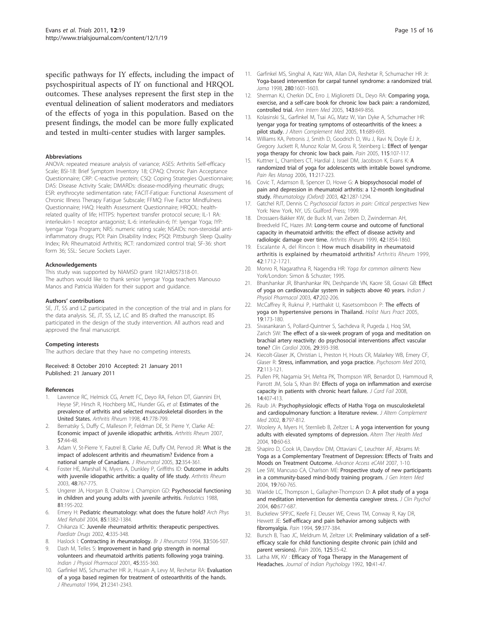<span id="page-14-0"></span>specific pathways for IY effects, including the impact of psychospiritual aspects of IY on functional and HRQOL outcomes. These analyses represent the first step in the eventual delineation of salient moderators and mediators of the effects of yoga in this population. Based on the present findings, the model can be more fully explicated and tested in multi-center studies with larger samples.

#### Abbreviations

ANOVA: repeated measure analysis of variance; ASES: Arthritis Self-efficacy Scale; BSI-18: Brief Symptom Inventory 18; CPAQ: Chronic Pain Acceptance Questionnaire; CRP: C-reactive protein; CSQ: Coping Strategies Questionnaire; DAS: Disease Activity Scale; DMARDs: disease-modifying rheumatic drugs; ESR: erythrocyte sedimentation rate; FACIT-Fatigue: Functional Assessment of Chronic Illness Therapy Fatigue Subscale; FFMQ: Five Factor Mindfulness Questionnaire; HAQ: Health Assessment Questionnaire; HRQOL: healthrelated quality of life; HTTPS: hypertext transfer protocol secure; IL-1 RA: interleukin-1 receptor antagonist; IL-6: interleukin-6; IY: Iyengar Yoga; IYP: Iyengar Yoga Program; NRS: numeric rating scale; NSAIDs: non-steroidal antiinflammatory drugs; PDI: Pain Disability Index; PSQI: Pittsburgh Sleep Quality Index; RA: Rheumatoid Arthritis; RCT: randomized control trial; SF-36: short form 36; SSL: Secure Sockets Layer.

#### Acknowledgements

This study was supported by NIAMSD grant 1R21AR057318-01. The authors would like to thank senior Iyengar Yoga teachers Manouso Manos and Patricia Walden for their support and guidance.

#### Authors' contributions

SE, JT, SS and LZ participated in the conception of the trial and in plans for the data analysis. SE, JT, SS, LZ, LC and BS drafted the manuscript. BS participated in the design of the study intervention. All authors read and approved the final manuscript.

#### Competing interests

The authors declare that they have no competing interests.

Received: 8 October 2010 Accepted: 21 January 2011 Published: 21 January 2011

#### References

- Lawrence RC, Helmick CG, Arnett FC, Deyo RA, Felson DT, Giannini EH, Heyse SP, Hirsch R, Hochberg MC, Hunder GG, et al: [Estimates of the](http://www.ncbi.nlm.nih.gov/pubmed/9588729?dopt=Abstract) [prevalence of arthritis and selected musculoskeletal disorders in the](http://www.ncbi.nlm.nih.gov/pubmed/9588729?dopt=Abstract) [United States.](http://www.ncbi.nlm.nih.gov/pubmed/9588729?dopt=Abstract) Arthritis Rheum 1998, 41:778-799.
- 2. Bernatsky S, Duffy C, Malleson P, Feldman DE, St Pierre Y, Clarke AE: [Economic impact of juvenile idiopathic arthritis.](http://www.ncbi.nlm.nih.gov/pubmed/17266088?dopt=Abstract) Arthritis Rheum 2007, 57:44-48.
- 3. Adam V, St-Pierre Y, Fautrel B, Clarke AE, Duffy CM, Penrod JR: [What is the](http://www.ncbi.nlm.nih.gov/pubmed/15693099?dopt=Abstract) [impact of adolescent arthritis and rheumatism? Evidence from a](http://www.ncbi.nlm.nih.gov/pubmed/15693099?dopt=Abstract) [national sample of Canadians.](http://www.ncbi.nlm.nih.gov/pubmed/15693099?dopt=Abstract) J Rheumatol 2005, 32:354-361.
- 4. Foster HE, Marshall N, Myers A, Dunkley P, Griffiths ID: [Outcome in adults](http://www.ncbi.nlm.nih.gov/pubmed/12632431?dopt=Abstract) [with juvenile idiopathic arthritis: a quality of life study.](http://www.ncbi.nlm.nih.gov/pubmed/12632431?dopt=Abstract) Arthritis Rheum 2003, 48:767-775.
- 5. Ungerer JA, Horgan B, Chaitow J, Champion GD: [Psychosocial functioning](http://www.ncbi.nlm.nih.gov/pubmed/3340470?dopt=Abstract) [in children and young adults with juvenile arthritis.](http://www.ncbi.nlm.nih.gov/pubmed/3340470?dopt=Abstract) Pediatrics 1988, 81:195-202.
- 6. Emery H: [Pediatric rheumatology: what does the future hold?](http://www.ncbi.nlm.nih.gov/pubmed/15295771?dopt=Abstract) Arch Phys Med Rehabil 2004, 85:1382-1384.
- 7. Chikanza IC: [Juvenile rheumatoid arthritis: therapeutic perspectives.](http://www.ncbi.nlm.nih.gov/pubmed/11994038?dopt=Abstract) Paediatr Drugs 2002, 4:335-348.
- 8. Haslock I: [Contracting in rheumatology.](http://www.ncbi.nlm.nih.gov/pubmed/8205396?dopt=Abstract) Br J Rheumatol 1994, 33:506-507.
- Dash M, Telles S: [Improvement in hand grip strength in normal](http://www.ncbi.nlm.nih.gov/pubmed/11881576?dopt=Abstract) [volunteers and rheumatoid arthritis patients following yoga training.](http://www.ncbi.nlm.nih.gov/pubmed/11881576?dopt=Abstract) Indian J Physiol Pharmacol 2001, 45:355-360.
- 10. Garfinkel MS, Schumacher HR Jr, Husain A, Levy M, Reshetar RA: [Evaluation](http://www.ncbi.nlm.nih.gov/pubmed/7699639?dopt=Abstract) [of a yoga based regimen for treatment of osteoarthritis of the hands.](http://www.ncbi.nlm.nih.gov/pubmed/7699639?dopt=Abstract) J Rheumatol 1994, 21:2341-2343.
- 11. Garfinkel MS, Singhal A, Katz WA, Allan DA, Reshetar R, Schumacher HR Jr: [Yoga-based intervention for carpal tunnel syndrome: a randomized trial.](http://www.ncbi.nlm.nih.gov/pubmed/9820263?dopt=Abstract) Jama 1998, 280:1601-1603.
- 12. Sherman KJ, Cherkin DC, Erro J, Miglioretti DL, Deyo RA: [Comparing yoga,](http://www.ncbi.nlm.nih.gov/pubmed/16365466?dopt=Abstract) [exercise, and a self-care book for chronic low back pain: a randomized,](http://www.ncbi.nlm.nih.gov/pubmed/16365466?dopt=Abstract) [controlled trial.](http://www.ncbi.nlm.nih.gov/pubmed/16365466?dopt=Abstract) Ann Intern Med 2005, 143:849-856.
- 13. Kolasinski SL, Garfinkel M, Tsai AG, Matz W, Van Dyke A, Schumacher HR: [Iyengar yoga for treating symptoms of osteoarthritis of the knees: a](http://www.ncbi.nlm.nih.gov/pubmed/16131293?dopt=Abstract) [pilot study.](http://www.ncbi.nlm.nih.gov/pubmed/16131293?dopt=Abstract) J Altern Complement Med 2005, 11:689-693.
- 14. Williams KA, Petronis J, Smith D, Goodrich D, Wu J, Ravi N, Doyle EJ Jr, Gregory Juckett R, Munoz Kolar M, Gross R, Steinberg L: [Effect of Iyengar](http://www.ncbi.nlm.nih.gov/pubmed/15836974?dopt=Abstract) [yoga therapy for chronic low back pain.](http://www.ncbi.nlm.nih.gov/pubmed/15836974?dopt=Abstract) Pain 2005, 115:107-117.
- 15. Kuttner L, Chambers CT, Hardial J, Israel DM, Jacobson K, Evans K: [A](http://www.ncbi.nlm.nih.gov/pubmed/17149454?dopt=Abstract) [randomized trial of yoga for adolescents with irritable bowel syndrome.](http://www.ncbi.nlm.nih.gov/pubmed/17149454?dopt=Abstract) Pain Res Manag 2006, 11:217-223.
- 16. Covic T, Adamson B, Spencer D, Howe G: [A biopsychosocial model of](http://www.ncbi.nlm.nih.gov/pubmed/12810932?dopt=Abstract) [pain and depression in rheumatoid arthritis: a 12-month longitudinal](http://www.ncbi.nlm.nih.gov/pubmed/12810932?dopt=Abstract) [study.](http://www.ncbi.nlm.nih.gov/pubmed/12810932?dopt=Abstract) Rheumatology (Oxford) 2003, 42:1287-1294.
- 17. Gatchel RJT, Dennis C: Psychosocial factors in pain: Critical perspectives New York: New York, NY, US: Guilford Press; 1999.
- 18. Drossaers-Bakker KW, de Buck M, van Zeben D, Zwinderman AH, Breedveld FC, Hazes JM: [Long-term course and outcome of functional](http://www.ncbi.nlm.nih.gov/pubmed/10513799?dopt=Abstract) [capacity in rheumatoid arthritis: the effect of disease activity and](http://www.ncbi.nlm.nih.gov/pubmed/10513799?dopt=Abstract) [radiologic damage over time.](http://www.ncbi.nlm.nih.gov/pubmed/10513799?dopt=Abstract) Arthritis Rheum 1999, 42:1854-1860.
- Escalante A, del Rincon I: [How much disability in rheumatoid](http://www.ncbi.nlm.nih.gov/pubmed/10446872?dopt=Abstract) [arthritis is explained by rheumatoid arthritis?](http://www.ncbi.nlm.nih.gov/pubmed/10446872?dopt=Abstract) Arthritis Rheum 1999, 42:1712-1721.
- 20. Monro R, Nagarathna R, Nagendra HR: Yoga for common ailments New York/London: Simon & Schuster; 1995.
- 21. Bharshankar JR, Bharshankar RN, Deshpande VN, Kaore SB, Gosavi GB: [Effect](http://www.ncbi.nlm.nih.gov/pubmed/15255625?dopt=Abstract) [of yoga on cardiovascular system in subjects above 40 years.](http://www.ncbi.nlm.nih.gov/pubmed/15255625?dopt=Abstract) Indian J Physiol Pharmacol 2003, 47:202-206.
- 22. McCaffrey R, Ruknui P, Hatthakit U, Kasetsomboon P: [The effects of](http://www.ncbi.nlm.nih.gov/pubmed/16006832?dopt=Abstract) [yoga on hypertensive persons in Thailand.](http://www.ncbi.nlm.nih.gov/pubmed/16006832?dopt=Abstract) Holist Nurs Pract 2005, 19:173-180.
- 23. Sivasankaran S, Pollard-Quintner S, Sachdeva R, Pugeda J, Hoq SM, Zarich SW: [The effect of a six-week program of yoga and meditation on](http://www.ncbi.nlm.nih.gov/pubmed/17007170?dopt=Abstract) [brachial artery reactivity: do psychosocial interventions affect vascular](http://www.ncbi.nlm.nih.gov/pubmed/17007170?dopt=Abstract) [tone?](http://www.ncbi.nlm.nih.gov/pubmed/17007170?dopt=Abstract) Clin Cardiol 2006, 29:393-398.
- 24. Kiecolt-Glaser JK, Christian L, Preston H, Houts CR, Malarkey WB, Emery CF, Glaser R: [Stress, inflammation, and yoga practice.](http://www.ncbi.nlm.nih.gov/pubmed/20064902?dopt=Abstract) Psychosom Med 2010, 72:113-121.
- 25. Pullen PR, Nagamia SH, Mehta PK, Thompson WR, Benardot D, Hammoud R, Parrott JM, Sola S, Khan BV: [Effects of yoga on inflammation and exercise](http://www.ncbi.nlm.nih.gov/pubmed/18514933?dopt=Abstract) [capacity in patients with chronic heart failure.](http://www.ncbi.nlm.nih.gov/pubmed/18514933?dopt=Abstract) J Card Fail 2008, 14:407-413.
- 26. Raub JA: [Psychophysiologic effects of Hatha Yoga on musculoskeletal](http://www.ncbi.nlm.nih.gov/pubmed/12614533?dopt=Abstract) [and cardiopulmonary function: a literature review.](http://www.ncbi.nlm.nih.gov/pubmed/12614533?dopt=Abstract) J Altern Complement Med 2002, 8:797-812.
- 27. Woolery A, Myers H, Sternlieb B, Zeltzer L: [A yoga intervention for young](http://www.ncbi.nlm.nih.gov/pubmed/15055096?dopt=Abstract) [adults with elevated symptoms of depression.](http://www.ncbi.nlm.nih.gov/pubmed/15055096?dopt=Abstract) Altern Ther Health Med 2004, 10:60-63.
- 28. Shapiro D, Cook IA, Davydov DM, Ottaviani C, Leuchter AF, Abrams M: Yoga as a Complementary Treatment of Depression: Effects of Traits and Moods on Treatment Outcome. Advance Access eCAM 2007, 1-10.
- 29. Lee SW, Mancuso CA, Charlson ME: [Prospective study of new participants](http://www.ncbi.nlm.nih.gov/pubmed/15209590?dopt=Abstract) [in a community-based mind-body training program.](http://www.ncbi.nlm.nih.gov/pubmed/15209590?dopt=Abstract) J Gen Intern Med 2004, 19:760-765.
- 30. Waelde LC, Thompson L, Gallagher-Thompson D: [A pilot study of a yoga](http://www.ncbi.nlm.nih.gov/pubmed/15141399?dopt=Abstract) [and meditation intervention for dementia caregiver stress.](http://www.ncbi.nlm.nih.gov/pubmed/15141399?dopt=Abstract) J Clin Psychol 2004, 60:677-687.
- 31. Buckelew SPPJC, Keefe FJ, Deuser WE, Crews TM, Conway R, Kay DR, Hewett JE: [Self-efficacy and pain behavior among subjects with](http://www.ncbi.nlm.nih.gov/pubmed/7708412?dopt=Abstract) [fibromyalgia.](http://www.ncbi.nlm.nih.gov/pubmed/7708412?dopt=Abstract) Pain 1994, 59:377-384.
- 32. Bursch B, Tsao JC, Meldrum M, Zeltzer LK: [Preliminary validation of a self](http://www.ncbi.nlm.nih.gov/pubmed/16740360?dopt=Abstract)[efficacy scale for child functioning despite chronic pain \(child and](http://www.ncbi.nlm.nih.gov/pubmed/16740360?dopt=Abstract) [parent versions\).](http://www.ncbi.nlm.nih.gov/pubmed/16740360?dopt=Abstract) Pain 2006, 125:35-42.
- 33. Latha MK, KV : Efficacy of Yoga Therapy in the Management of Headaches. Journal of Indian Psychology 1992, 10:41-47.